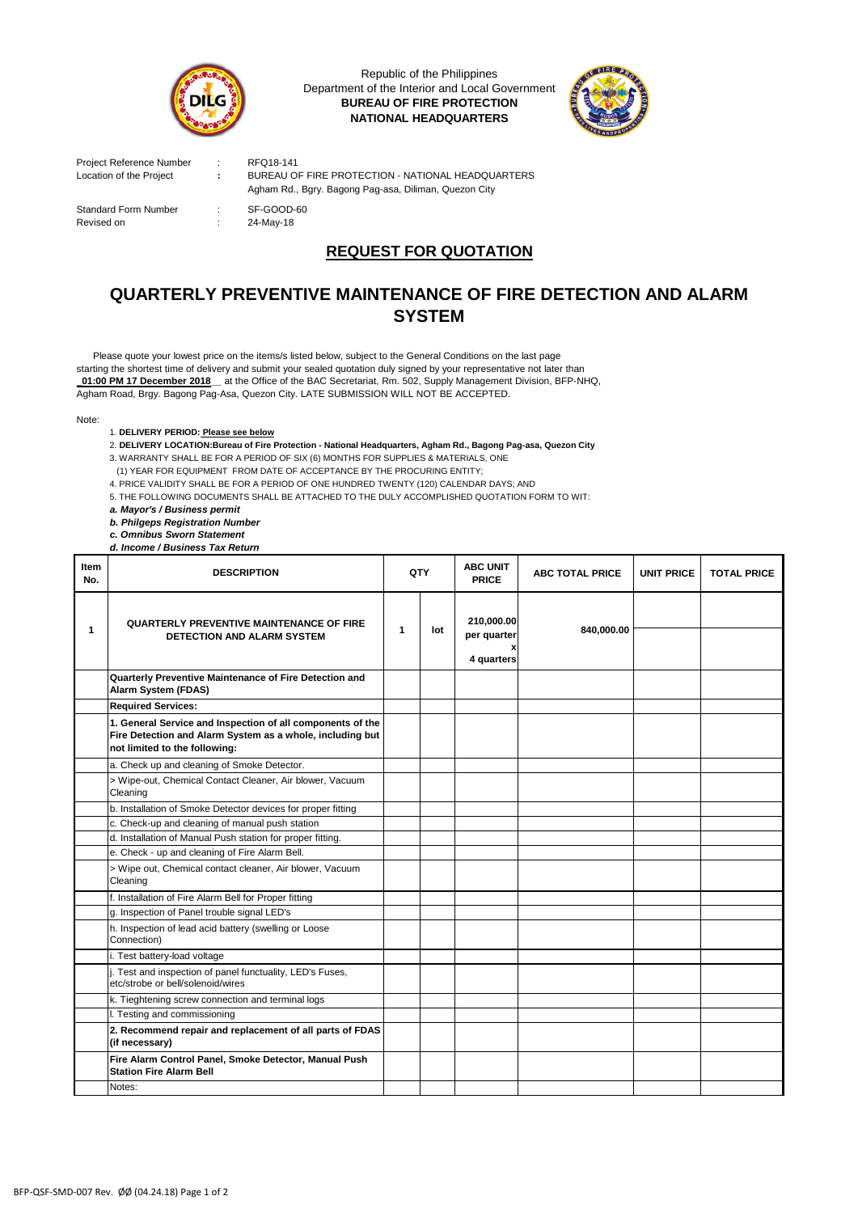

Republic of the Philippines Department of the Interior and Local Government **BUREAU OF FIRE PROTECTION NATIONAL HEADQUARTERS**



Project Reference Number : RFQ18-141<br>
Location of the Project : BUREAU OI

Standard Form Number : SF-GOOD-60

**EXAMPLE OF STATION - STATIONAL PROTECTION - NATIONAL HEADQUARTERS** Agham Rd., Bgry. Bagong Pag-asa, Diliman, Quezon City

Revised on : 24-May-18

## **REQUEST FOR QUOTATION**

## **QUARTERLY PREVENTIVE MAINTENANCE OF FIRE DETECTION AND ALARM SYSTEM**

Agham Road, Brgy. Bagong Pag-Asa, Quezon City. LATE SUBMISSION WILL NOT BE ACCEPTED. Please quote your lowest price on the items/s listed below, subject to the General Conditions on the last page starting the shortest time of delivery and submit your sealed quotation duly signed by your representative not later than **\_01:00 PM 17 December 2018\_\_** at the Office of the BAC Secretariat, Rm. 502, Supply Management Division, BFP-NHQ,

Note:

1. **DELIVERY PERIOD: Please see below**

2. **DELIVERY LOCATION:Bureau of Fire Protection - National Headquarters, Agham Rd., Bagong Pag-asa, Quezon City** 3. WARRANTY SHALL BE FOR A PERIOD OF SIX (6) MONTHS FOR SUPPLIES & MATERIALS, ONE

(1) YEAR FOR EQUIPMENT FROM DATE OF ACCEPTANCE BY THE PROCURING ENTITY;

4. PRICE VALIDITY SHALL BE FOR A PERIOD OF ONE HUNDRED TWENTY (120) CALENDAR DAYS; AND

5. THE FOLLOWING DOCUMENTS SHALL BE ATTACHED TO THE DULY ACCOMPLISHED QUOTATION FORM TO WIT:

*a. Mayor's / Business permit*

*b. Philgeps Registration Number* 

*c. Omnibus Sworn Statement*

*d. Income / Business Tax Return*

| Item<br>No. | <b>DESCRIPTION</b>                                                                                                                                       | QTY         |     | <b>ABC UNIT</b><br><b>PRICE</b> | <b>ABC TOTAL PRICE</b> | <b>UNIT PRICE</b> | <b>TOTAL PRICE</b> |
|-------------|----------------------------------------------------------------------------------------------------------------------------------------------------------|-------------|-----|---------------------------------|------------------------|-------------------|--------------------|
| 1           | <b>QUARTERLY PREVENTIVE MAINTENANCE OF FIRE</b><br><b>DETECTION AND ALARM SYSTEM</b>                                                                     | $\mathbf 1$ | lot | 210,000.00<br>per quarter       | 840,000.00             |                   |                    |
|             |                                                                                                                                                          |             |     | X<br>4 quarters                 |                        |                   |                    |
|             | Quarterly Preventive Maintenance of Fire Detection and<br>Alarm System (FDAS)                                                                            |             |     |                                 |                        |                   |                    |
|             | <b>Required Services:</b>                                                                                                                                |             |     |                                 |                        |                   |                    |
|             | 1. General Service and Inspection of all components of the<br>Fire Detection and Alarm System as a whole, including but<br>not limited to the following: |             |     |                                 |                        |                   |                    |
|             | a. Check up and cleaning of Smoke Detector.                                                                                                              |             |     |                                 |                        |                   |                    |
|             | > Wipe-out, Chemical Contact Cleaner, Air blower, Vacuum<br>Cleaning                                                                                     |             |     |                                 |                        |                   |                    |
|             | b. Installation of Smoke Detector devices for proper fitting                                                                                             |             |     |                                 |                        |                   |                    |
|             | c. Check-up and cleaning of manual push station                                                                                                          |             |     |                                 |                        |                   |                    |
|             | d. Installation of Manual Push station for proper fitting.                                                                                               |             |     |                                 |                        |                   |                    |
|             | e. Check - up and cleaning of Fire Alarm Bell.                                                                                                           |             |     |                                 |                        |                   |                    |
|             | > Wipe out, Chemical contact cleaner, Air blower, Vacuum<br>Cleaning                                                                                     |             |     |                                 |                        |                   |                    |
|             | f. Installation of Fire Alarm Bell for Proper fitting                                                                                                    |             |     |                                 |                        |                   |                    |
|             | g. Inspection of Panel trouble signal LED's                                                                                                              |             |     |                                 |                        |                   |                    |
|             | h. Inspection of lead acid battery (swelling or Loose<br>Connection)                                                                                     |             |     |                                 |                        |                   |                    |
|             | i. Test battery-load voltage                                                                                                                             |             |     |                                 |                        |                   |                    |
|             | . Test and inspection of panel functuality, LED's Fuses,<br>etc/strobe or bell/solenoid/wires                                                            |             |     |                                 |                        |                   |                    |
|             | k. Tieghtening screw connection and terminal logs                                                                                                        |             |     |                                 |                        |                   |                    |
|             | I. Testing and commissioning                                                                                                                             |             |     |                                 |                        |                   |                    |
|             | 2. Recommend repair and replacement of all parts of FDAS<br>(if necessary)                                                                               |             |     |                                 |                        |                   |                    |
|             | Fire Alarm Control Panel, Smoke Detector, Manual Push<br><b>Station Fire Alarm Bell</b>                                                                  |             |     |                                 |                        |                   |                    |
|             | Notes:                                                                                                                                                   |             |     |                                 |                        |                   |                    |